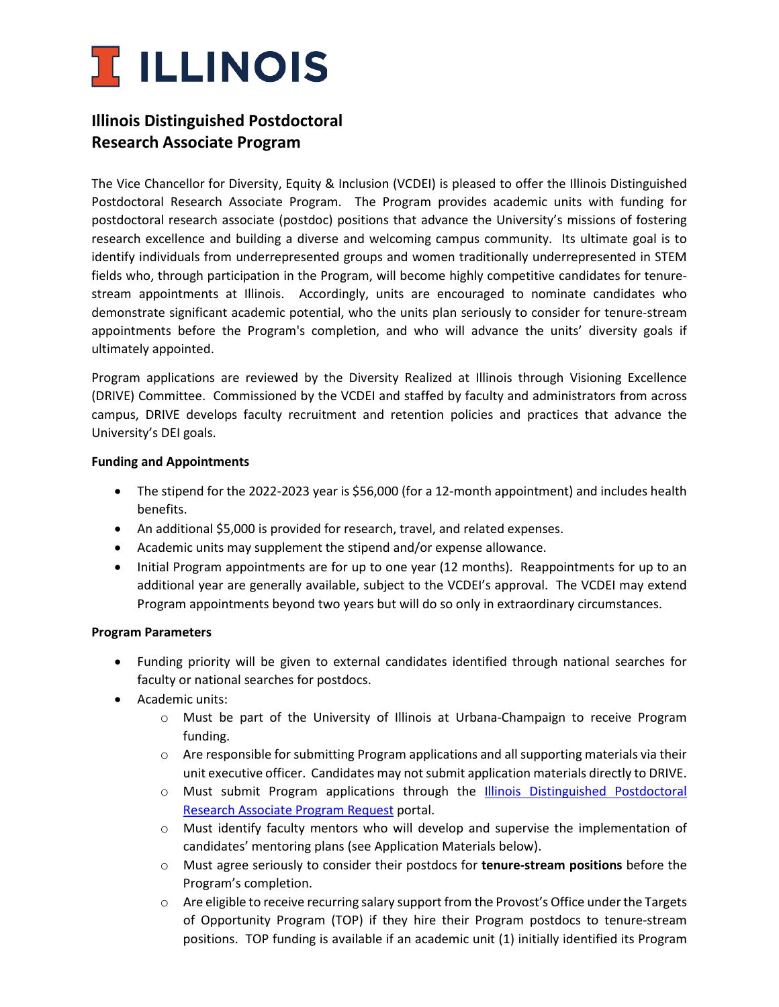

## **Illinois Distinguished Postdoctoral Research Associate Program**

The Vice Chancellor for Diversity, Equity & Inclusion (VCDEI) is pleased to offer the Illinois Distinguished Postdoctoral Research Associate Program. The Program provides academic units with funding for postdoctoral research associate (postdoc) positions that advance the University's missions of fostering research excellence and building a diverse and welcoming campus community. Its ultimate goal is to identify individuals from underrepresented groups and women traditionally underrepresented in STEM fields who, through participation in the Program, will become highly competitive candidates for tenurestream appointments at Illinois. Accordingly, units are encouraged to nominate candidates who demonstrate significant academic potential, who the units plan seriously to consider for tenure-stream appointments before the Program's completion, and who will advance the units' diversity goals if ultimately appointed.

Program applications are reviewed by the Diversity Realized at Illinois through Visioning Excellence (DRIVE) Committee. Commissioned by the VCDEI and staffed by faculty and administrators from across campus, DRIVE develops faculty recruitment and retention policies and practices that advance the University's DEI goals.

#### **Funding and Appointments**

- The stipend for the 2022-2023 year is \$56,000 (for a 12-month appointment) and includes health benefits.
- An additional \$5,000 is provided for research, travel, and related expenses.
- Academic units may supplement the stipend and/or expense allowance.
- Initial Program appointments are for up to one year (12 months). Reappointments for up to an additional year are generally available, subject to the VCDEI's approval. The VCDEI may extend Program appointments beyond two years but will do so only in extraordinary circumstances.

### **Program Parameters**

- Funding priority will be given to external candidates identified through national searches for faculty or national searches for postdocs.
- Academic units:
	- o Must be part of the University of Illinois at Urbana-Champaign to receive Program funding.
	- $\circ$  Are responsible for submitting Program applications and all supporting materials via their unit executive officer. Candidates may not submit application materials directly to DRIVE.
	- o Must submit Program applications through the [Illinois Distinguished Postdoctoral](https://forms.illinois.edu/sec/237876613)  [Research Associate Program Request](https://forms.illinois.edu/sec/237876613) portal.
	- $\circ$  Must identify faculty mentors who will develop and supervise the implementation of candidates' mentoring plans (see Application Materials below).
	- o Must agree seriously to consider their postdocs for **tenure-stream positions** before the Program's completion.
	- $\circ$  Are eligible to receive recurring salary support from the Provost's Office under the Targets of Opportunity Program (TOP) if they hire their Program postdocs to tenure-stream positions. TOP funding is available if an academic unit (1) initially identified its Program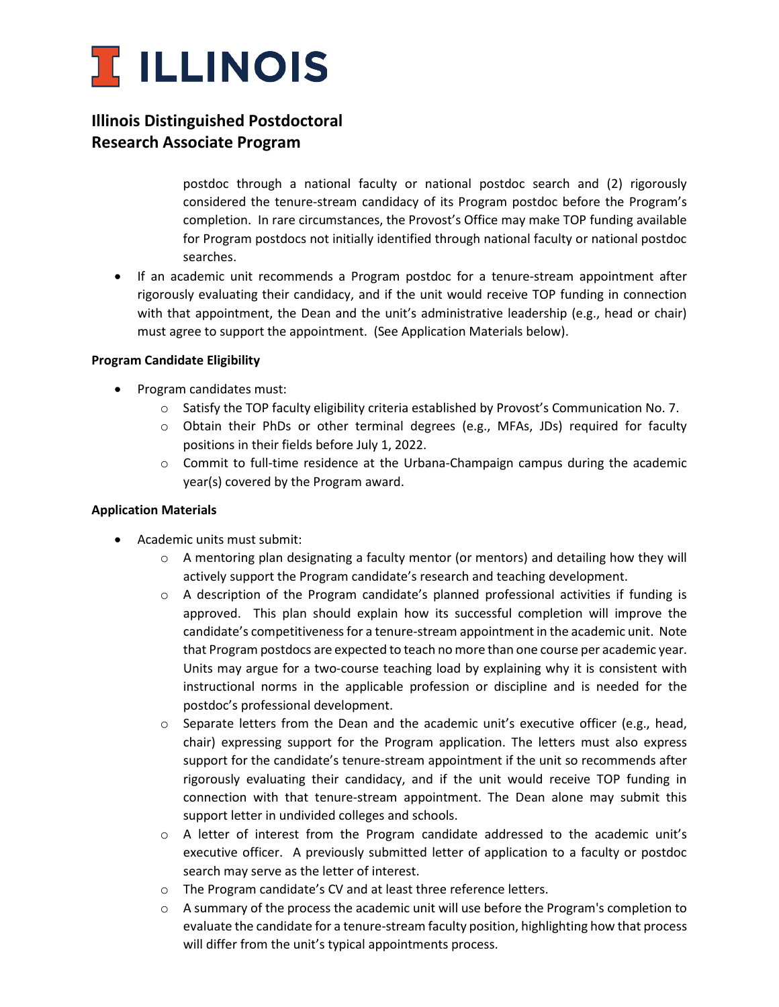

# **Illinois Distinguished Postdoctoral Research Associate Program**

postdoc through a national faculty or national postdoc search and (2) rigorously considered the tenure-stream candidacy of its Program postdoc before the Program's completion. In rare circumstances, the Provost's Office may make TOP funding available for Program postdocs not initially identified through national faculty or national postdoc searches.

• If an academic unit recommends a Program postdoc for a tenure-stream appointment after rigorously evaluating their candidacy, and if the unit would receive TOP funding in connection with that appointment, the Dean and the unit's administrative leadership (e.g., head or chair) must agree to support the appointment. (See Application Materials below).

### **Program Candidate Eligibility**

- Program candidates must:
	- o Satisfy the TOP faculty eligibility criteria established by Provost's Communication No. 7.
	- o Obtain their PhDs or other terminal degrees (e.g., MFAs, JDs) required for faculty positions in their fields before July 1, 2022.
	- $\circ$  Commit to full-time residence at the Urbana-Champaign campus during the academic year(s) covered by the Program award.

### **Application Materials**

- Academic units must submit:
	- $\circ$  A mentoring plan designating a faculty mentor (or mentors) and detailing how they will actively support the Program candidate's research and teaching development.
	- $\circ$  A description of the Program candidate's planned professional activities if funding is approved. This plan should explain how its successful completion will improve the candidate's competitiveness for a tenure-stream appointment in the academic unit. Note that Program postdocs are expected to teach no more than one course per academic year. Units may argue for a two-course teaching load by explaining why it is consistent with instructional norms in the applicable profession or discipline and is needed for the postdoc's professional development.
	- $\circ$  Separate letters from the Dean and the academic unit's executive officer (e.g., head, chair) expressing support for the Program application. The letters must also express support for the candidate's tenure-stream appointment if the unit so recommends after rigorously evaluating their candidacy, and if the unit would receive TOP funding in connection with that tenure-stream appointment. The Dean alone may submit this support letter in undivided colleges and schools.
	- $\circ$  A letter of interest from the Program candidate addressed to the academic unit's executive officer. A previously submitted letter of application to a faculty or postdoc search may serve as the letter of interest.
	- o The Program candidate's CV and at least three reference letters.
	- o A summary of the process the academic unit will use before the Program's completion to evaluate the candidate for a tenure-stream faculty position, highlighting how that process will differ from the unit's typical appointments process.